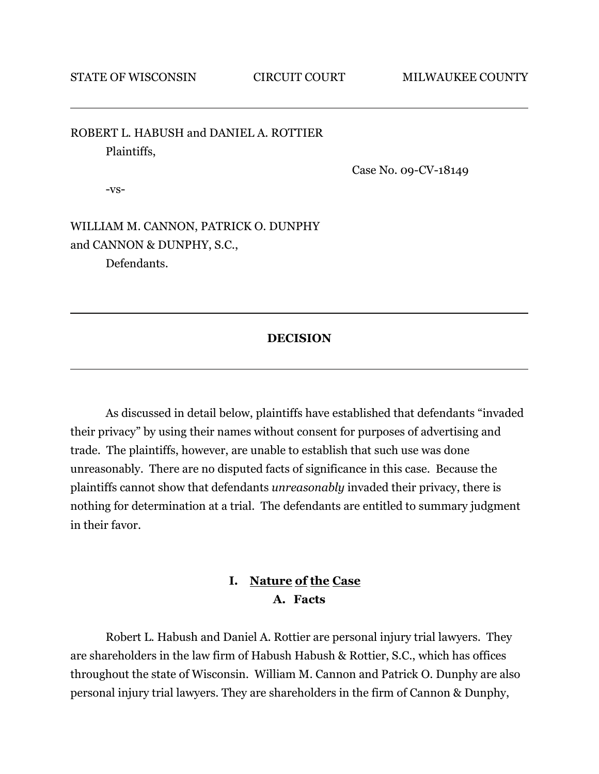ROBERT L. HABUSH and DANIEL A. ROTTIER Plaintiffs,

Case No. 09-CV-18149

-vs-

WILLIAM M. CANNON, PATRICK O. DUNPHY and CANNON & DUNPHY, S.C., Defendants.

#### **DECISION**

As discussed in detail below, plaintiffs have established that defendants "invaded their privacy" by using their names without consent for purposes of advertising and trade. The plaintiffs, however, are unable to establish that such use was done unreasonably. There are no disputed facts of significance in this case. Because the plaintiffs cannot show that defendants *unreasonably* invaded their privacy, there is nothing for determination at a trial. The defendants are entitled to summary judgment in their favor.

## **I. Nature of the Case A. Facts**

Robert L. Habush and Daniel A. Rottier are personal injury trial lawyers. They are shareholders in the law firm of Habush Habush & Rottier, S.C., which has offices throughout the state of Wisconsin. William M. Cannon and Patrick O. Dunphy are also personal injury trial lawyers. They are shareholders in the firm of Cannon & Dunphy,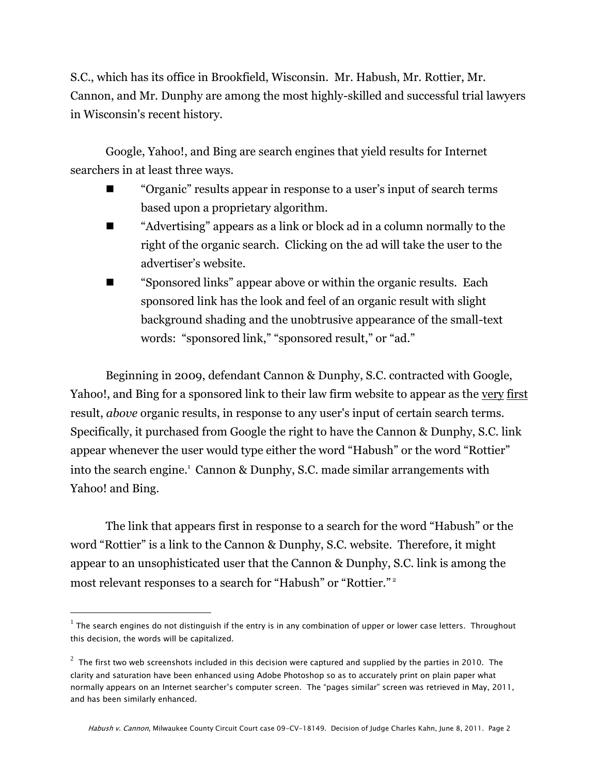S.C., which has its office in Brookfield, Wisconsin. Mr. Habush, Mr. Rottier, Mr. Cannon, and Mr. Dunphy are among the most highly-skilled and successful trial lawyers in Wisconsin's recent history.

Google, Yahoo!, and Bing are search engines that yield results for Internet searchers in at least three ways.

- ―Organic‖ results appear in response to a user's input of search terms based upon a proprietary algorithm.
- "Advertising" appears as a link or block ad in a column normally to the right of the organic search. Clicking on the ad will take the user to the advertiser's website.
- ―Sponsored links‖ appear above or within the organic results. Each sponsored link has the look and feel of an organic result with slight background shading and the unobtrusive appearance of the small-text words: "sponsored link," "sponsored result," or "ad."

Beginning in 2009, defendant Cannon & Dunphy, S.C. contracted with Google, Yahoo!, and Bing for a sponsored link to their law firm website to appear as the very first result, *above* organic results, in response to any user's input of certain search terms. Specifically, it purchased from Google the right to have the Cannon & Dunphy, S.C. link appear whenever the user would type either the word "Habush" or the word "Rottier" into the search engine.<sup>1</sup> Cannon & Dunphy, S.C. made similar arrangements with Yahoo! and Bing.

The link that appears first in response to a search for the word "Habush" or the word "Rottier" is a link to the Cannon & Dunphy, S.C. website. Therefore, it might appear to an unsophisticated user that the Cannon & Dunphy, S.C. link is among the most relevant responses to a search for "Habush" or "Rottier."<sup>2</sup>

 $^1$  The search engines do not distinguish if the entry is in any combination of upper or lower case letters. Throughout this decision, the words will be capitalized.

 $^2\,$  The first two web screenshots included in this decision were captured and supplied by the parties in 2010. The clarity and saturation have been enhanced using Adobe Photoshop so as to accurately print on plain paper what normally appears on an Internet searcher's computer screen. The "pages similar" screen was retrieved in May, 2011, and has been similarly enhanced.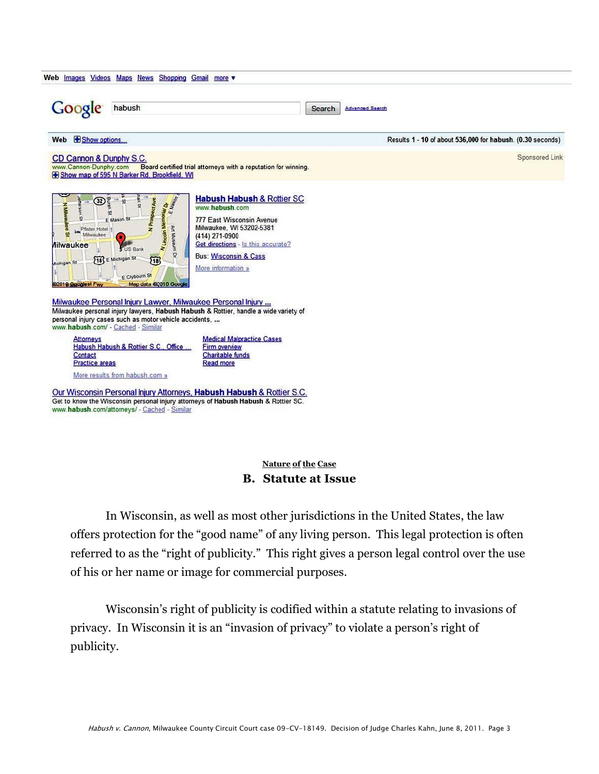| Google<br>habush                                                                                                                                                                                                                                                                                                                                                                                                                                                                                                                                                              |                                                                                                                                                                                                                                    | <b>Advanced Search</b><br>Search                           |                |  |
|-------------------------------------------------------------------------------------------------------------------------------------------------------------------------------------------------------------------------------------------------------------------------------------------------------------------------------------------------------------------------------------------------------------------------------------------------------------------------------------------------------------------------------------------------------------------------------|------------------------------------------------------------------------------------------------------------------------------------------------------------------------------------------------------------------------------------|------------------------------------------------------------|----------------|--|
| Show options<br>Web                                                                                                                                                                                                                                                                                                                                                                                                                                                                                                                                                           |                                                                                                                                                                                                                                    | Results 1 - 10 of about 536,000 for habush. (0.30 seconds) |                |  |
| CD Cannon & Dunphy S.C.<br>www.Cannon-Dunphy.com Board certified trial attorneys with a reputation for winning.<br>Show map of 595 N Barker Rd, Brookfield, WI                                                                                                                                                                                                                                                                                                                                                                                                                |                                                                                                                                                                                                                                    |                                                            | Sponsored Link |  |
| $(32)$ $\frac{6}{5}$<br><b>N Lincoln Memoriar Dy</b><br>$\omega$<br>œ<br>F Mason St<br>Art Museum Dr<br>Pfister Hotel<br>$\Omega$<br>Milwaukee<br>п<br><b><i>Ailwaukee</i></b><br><b>S</b> US Bank<br>[18] E Michigan St<br>$\sqrt{18}$<br>Michigan St<br>E Clybourn St<br>Map data @2010 Google<br>@2010 Sqoglest Fwy<br>Milwaukee Personal Injury Lawyer, Milwaukee Personal Injury<br>Milwaukee personal injury lawyers, Habush Habush & Rottier, handle a wide variety of<br>personal injury cases such as motor vehicle accidents.<br>www.habush.com/ - Cached - Similar | <b>Habush Habush &amp; Rottier SC</b><br>www.habush.com<br>777 East Wisconsin Avenue<br>Milwaukee, WI 53202-5381<br>(414) 271-0900<br>Get directions - Is this accurate?<br><b>Bus: Wisconsin &amp; Cass</b><br>More information » |                                                            |                |  |
| <b>Attorneys</b>                                                                                                                                                                                                                                                                                                                                                                                                                                                                                                                                                              | <b>Medical Malpractice Cases</b><br>Firm overview                                                                                                                                                                                  |                                                            |                |  |

Get to know the Wisconsin personal injury attorneys of Habush Habush & Rottier SC. www.habush.com/attorneys/ - Cached - Similar

## **Nature of the Case B. Statute at Issue**

In Wisconsin, as well as most other jurisdictions in the United States, the law offers protection for the "good name" of any living person. This legal protection is often referred to as the "right of publicity." This right gives a person legal control over the use of his or her name or image for commercial purposes.

Wisconsin's right of publicity is codified within a statute relating to invasions of privacy. In Wisconsin it is an "invasion of privacy" to violate a person's right of publicity.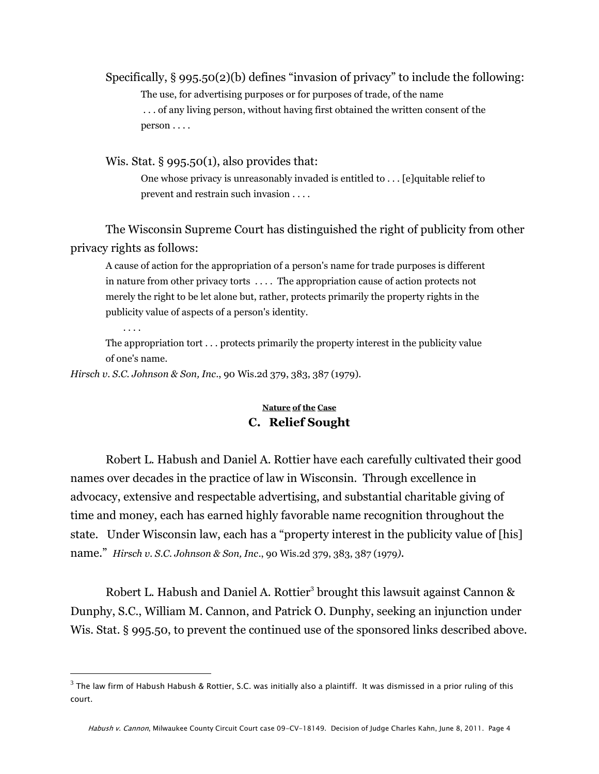Specifically,  $\S 995.50(2)(b)$  defines "invasion of privacy" to include the following: The use, for advertising purposes or for purposes of trade, of the name . . . of any living person, without having first obtained the written consent of the person . . . .

Wis. Stat. § 995.50(1), also provides that:

One whose privacy is unreasonably invaded is entitled to . . . [e]quitable relief to prevent and restrain such invasion . . . .

The Wisconsin Supreme Court has distinguished the right of publicity from other privacy rights as follows:

A cause of action for the appropriation of a person's name for trade purposes is different in nature from other privacy torts . . . . The appropriation cause of action protects not merely the right to be let alone but, rather, protects primarily the property rights in the publicity value of aspects of a person's identity.

. . . .

 $\overline{a}$ 

The appropriation tort . . . protects primarily the property interest in the publicity value of one's name.

*Hirsch v. S.C. Johnson & Son, Inc*., 90 Wis.2d 379, 383, 387 (1979).

#### **Nature of the Case C. Relief Sought**

Robert L. Habush and Daniel A. Rottier have each carefully cultivated their good names over decades in the practice of law in Wisconsin. Through excellence in advocacy, extensive and respectable advertising, and substantial charitable giving of time and money, each has earned highly favorable name recognition throughout the state. Under Wisconsin law, each has a "property interest in the publicity value of [his] name.‖ *Hirsch v. S.C. Johnson & Son, Inc*., 90 Wis.2d 379, 383, 387 (1979*)*.

Robert L. Habush and Daniel A. Rottier<sup>3</sup> brought this lawsuit against Cannon & Dunphy, S.C., William M. Cannon, and Patrick O. Dunphy, seeking an injunction under Wis. Stat. § 995.50, to prevent the continued use of the sponsored links described above.

 $^3$  The law firm of Habush Habush & Rottier, S.C. was initially also a plaintiff. It was dismissed in a prior ruling of this court.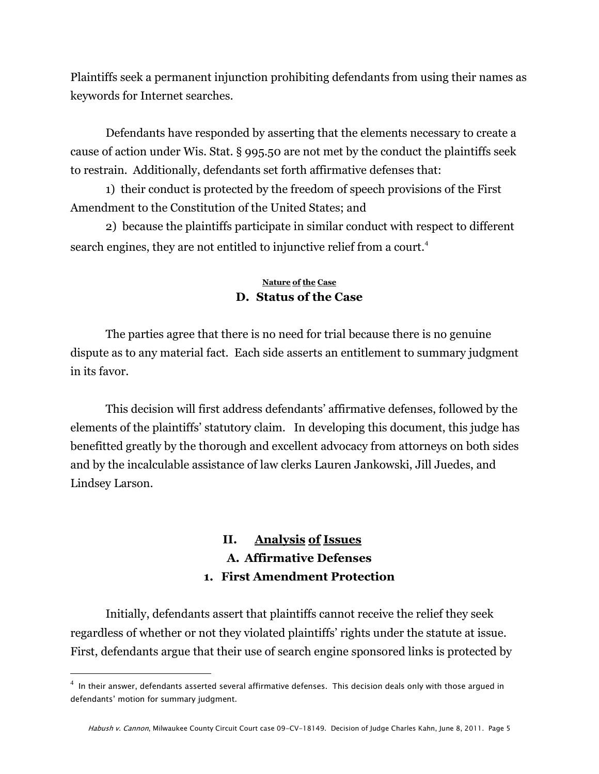Plaintiffs seek a permanent injunction prohibiting defendants from using their names as keywords for Internet searches.

Defendants have responded by asserting that the elements necessary to create a cause of action under Wis. Stat. § 995.50 are not met by the conduct the plaintiffs seek to restrain. Additionally, defendants set forth affirmative defenses that:

1) their conduct is protected by the freedom of speech provisions of the First Amendment to the Constitution of the United States; and

2) because the plaintiffs participate in similar conduct with respect to different search engines, they are not entitled to injunctive relief from a court.<sup>4</sup>

### **Nature of the Case D. Status of the Case**

The parties agree that there is no need for trial because there is no genuine dispute as to any material fact. Each side asserts an entitlement to summary judgment in its favor.

This decision will first address defendants' affirmative defenses, followed by the elements of the plaintiffs' statutory claim. In developing this document, this judge has benefitted greatly by the thorough and excellent advocacy from attorneys on both sides and by the incalculable assistance of law clerks Lauren Jankowski, Jill Juedes, and Lindsey Larson.

# **II. Analysis of Issues A. Affirmative Defenses 1. First Amendment Protection**

Initially, defendants assert that plaintiffs cannot receive the relief they seek regardless of whether or not they violated plaintiffs' rights under the statute at issue. First, defendants argue that their use of search engine sponsored links is protected by

 $^4\,$  In their answer, defendants asserted several affirmative defenses. This decision deals only with those argued in defendants' motion for summary judgment.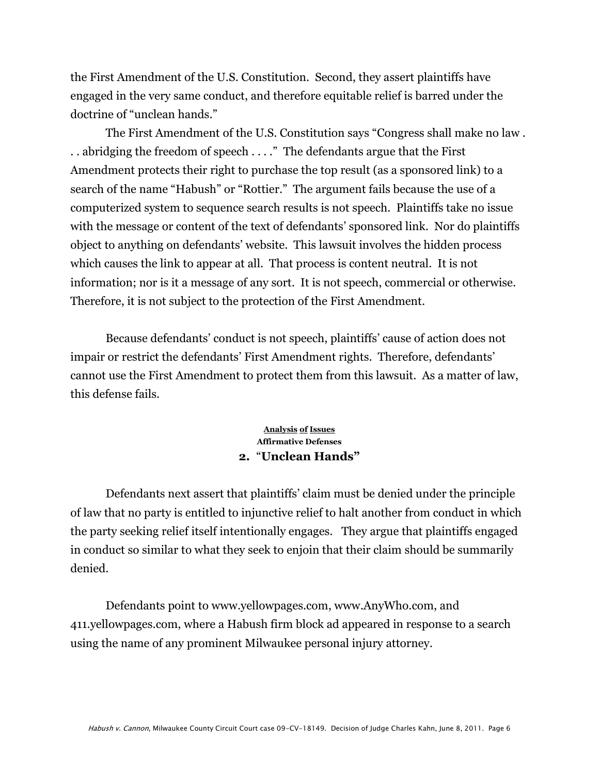the First Amendment of the U.S. Constitution. Second, they assert plaintiffs have engaged in the very same conduct, and therefore equitable relief is barred under the doctrine of "unclean hands."

The First Amendment of the U.S. Constitution says "Congress shall make no law.  $\ldots$  abridging the freedom of speech  $\ldots$ ." The defendants argue that the First Amendment protects their right to purchase the top result (as a sponsored link) to a search of the name "Habush" or "Rottier." The argument fails because the use of a computerized system to sequence search results is not speech. Plaintiffs take no issue with the message or content of the text of defendants' sponsored link. Nor do plaintiffs object to anything on defendants' website. This lawsuit involves the hidden process which causes the link to appear at all. That process is content neutral. It is not information; nor is it a message of any sort. It is not speech, commercial or otherwise. Therefore, it is not subject to the protection of the First Amendment.

Because defendants' conduct is not speech, plaintiffs' cause of action does not impair or restrict the defendants' First Amendment rights. Therefore, defendants' cannot use the First Amendment to protect them from this lawsuit. As a matter of law, this defense fails.

#### **Analysis of Issues Affirmative Defenses 2.** ―**Unclean Hands"**

Defendants next assert that plaintiffs' claim must be denied under the principle of law that no party is entitled to injunctive relief to halt another from conduct in which the party seeking relief itself intentionally engages. They argue that plaintiffs engaged in conduct so similar to what they seek to enjoin that their claim should be summarily denied.

Defendants point to [www.yellowpages.com,](http://www.yellowpages.com/) [www.AnyWho.com,](http://www.anywho.com/) and 411.yellowpages.com, where a Habush firm block ad appeared in response to a search using the name of any prominent Milwaukee personal injury attorney.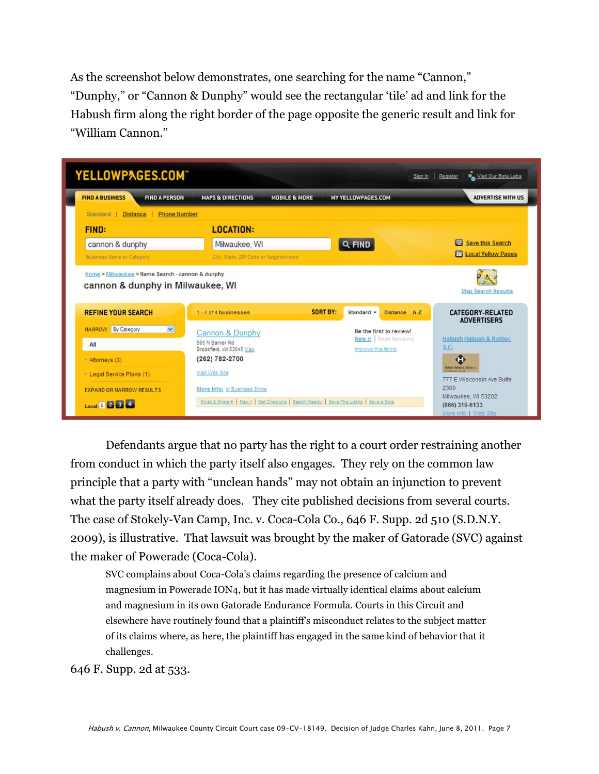As the screenshot below demonstrates, one searching for the name "Cannon," "Dunphy," or "Cannon & Dunphy" would see the rectangular 'tile' ad and link for the Habush firm along the right border of the page opposite the generic result and link for ―William Cannon.‖

| YELLOWPAGES.COM®                                              |                                                                                             |                          | Sign In                                           | Visit Our Beta Labs<br>Register                                            |
|---------------------------------------------------------------|---------------------------------------------------------------------------------------------|--------------------------|---------------------------------------------------|----------------------------------------------------------------------------|
| <b>FIND A BUSINESS</b><br><b>FIND A PERSON</b>                | <b>MAPS &amp; DIRECTIONS</b>                                                                | <b>MOBILE &amp; MORE</b> | <b>MY YELLOWPAGES.COM</b>                         | <b>ADVERTISE WITH US</b>                                                   |
| Standard  <br><b>Distance</b><br><b>Phone Number</b>          |                                                                                             |                          |                                                   |                                                                            |
| <b>FIND:</b>                                                  | <b>LOCATION:</b>                                                                            |                          |                                                   |                                                                            |
| cannon & dunphy                                               | Milwaukee, WI                                                                               |                          | Q FIND                                            | Save this Search                                                           |
| Business Name or Category                                     | City, State, ZIP Code or Neighborhood                                                       |                          |                                                   | <b>16 Local Yellow Pages</b>                                               |
| cannon & dunphy in Milwaukee, WI<br><b>REFINE YOUR SEARCH</b> | 1-4 of 4 businesses                                                                         | <b>SORT BY:</b>          | Standard v<br>Distance A-Z                        | <b>Map Search Results</b><br><b>CATEGORY-RELATED</b><br><b>ADVERTISERS</b> |
| <b>NARROW</b> By Category<br>$\checkmark$                     | Cannon & Dunphy                                                                             |                          | Be the first to review!<br>Rate it   Read Reviews | Habush Habush & Rottier,                                                   |
| All                                                           | 595 N Barker Rd<br>Brookfield, WI 53045 Map                                                 |                          | Improve this listing                              | S.C.                                                                       |
| * Attorneys (3)                                               | (262) 782-2700                                                                              |                          |                                                   | <b>John Hobech &amp; Rattiers</b>                                          |
| * Legal Service Plans (1)                                     | Visit Web Site                                                                              |                          |                                                   | 777 E Wisconsin Ave Suite                                                  |
| <b>EXPAND OR NARROW RESULTS</b>                               | More Info: In Business Since                                                                |                          |                                                   | 2300                                                                       |
| Local 1 2 3 4                                                 | Email & Share >   Map It   Get Directions   Search Nearby   Save This Listing   Save a Note |                          |                                                   | Milwaukee, WI 53202<br>(866) 319-6133<br>More Info   Web Site              |

Defendants argue that no party has the right to a court order restraining another from conduct in which the party itself also engages. They rely on the common law principle that a party with "unclean hands" may not obtain an injunction to prevent what the party itself already does. They cite published decisions from several courts. The case of Stokely-Van Camp, Inc. v. [Coca-Cola Co.](http://web2.westlaw.com/find/default.wl?returnto=BusinessNameReturnTo&docname=CIK(0000021344)&rp=%2ffind%2fdefault.wl&sv=Split&rs=WLW11.01&db=BC-COMPANYSRBD&findtype=l&fn=_top&mt=89&vr=2.0&lvbp=T), 646 F. Supp. 2d 510 (S.D.N.Y. 2009), is illustrative. That lawsuit was brought by the maker of Gatorade (SVC) against the maker of Powerade (Coca-Cola).

SVC complains about Coca-Cola's claims regarding the presence of calcium and magnesium in Powerade ION4, but it has made virtually identical claims about calcium and magnesium in its own Gatorade Endurance Formula. Courts in this Circuit and elsewhere have routinely found that a plaintiff's misconduct relates to the subject matter of its claims where, as here, the plaintiff has engaged in the same kind of behavior that it challenges.

646 F. Supp. 2d at 533.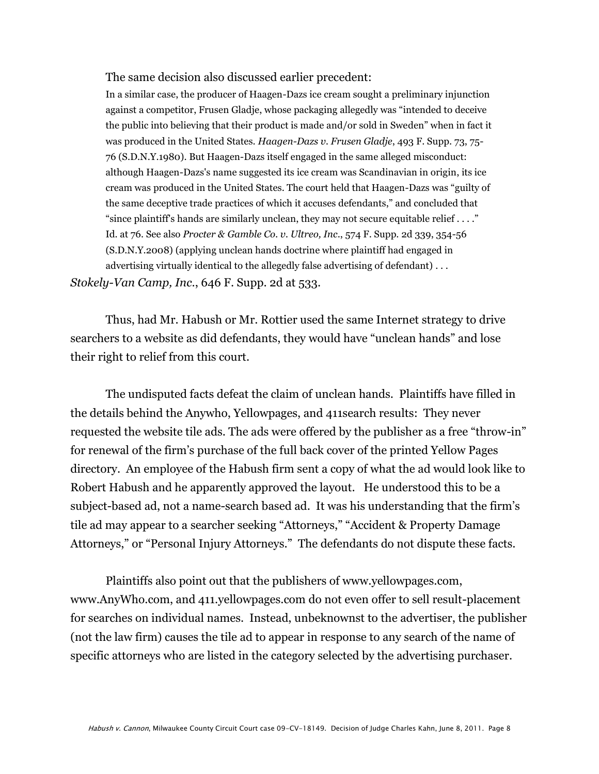#### The same decision also discussed earlier precedent:

In a similar case, the producer of Haagen-Dazs ice cream sought a preliminary injunction against a competitor, Frusen Gladje, whose packaging allegedly was "intended to deceive the public into believing that their product is made and/or sold in Sweden" when in fact it was produced in the United States. *[Haagen-Dazs v. Frusen Gladje](http://web2.westlaw.com/find/default.wl?referencepositiontype=S&serialnum=1980325003&referenceposition=75&rp=%2ffind%2fdefault.wl&sv=Split&rs=WLW11.01&db=345&tf=-1&findtype=Y&fn=_top&mt=89&vr=2.0&pbc=0F011A7C&tc=-1&ordoc=2019541823)*, 493 F. Supp. 73, 75- [76 \(S.D.N.Y.1980\).](http://web2.westlaw.com/find/default.wl?referencepositiontype=S&serialnum=1980325003&referenceposition=75&rp=%2ffind%2fdefault.wl&sv=Split&rs=WLW11.01&db=345&tf=-1&findtype=Y&fn=_top&mt=89&vr=2.0&pbc=0F011A7C&tc=-1&ordoc=2019541823) But Haagen-Dazs itself engaged in the same alleged misconduct: although Haagen-Dazs's name suggested its ice cream was Scandinavian in origin, its ice cream was produced in the United States. The court held that Haagen-Dazs was "guilty of the same deceptive trade practices of which it accuses defendants," and concluded that "since plaintiff's hands are similarly unclean, they may not secure equitable relief  $\dots$ ." [Id. at 76.](http://web2.westlaw.com/find/default.wl?serialnum=1980325003&tc=-1&rp=%2ffind%2fdefault.wl&sv=Split&rs=WLW11.01&tf=-1&findtype=Y&fn=_top&mt=89&vr=2.0&pbc=0F011A7C&ordoc=2019541823) See also *Procter & [Gamble Co. v. Ultreo, Inc](http://web2.westlaw.com/find/default.wl?referencepositiontype=S&serialnum=2016899793&referenceposition=354&rp=%2ffind%2fdefault.wl&sv=Split&rs=WLW11.01&db=4637&tf=-1&findtype=Y&fn=_top&mt=89&vr=2.0&pbc=0F011A7C&tc=-1&ordoc=2019541823)*., 574 F. Supp. 2d 339, 354-56 [\(S.D.N.Y.2008\)](http://web2.westlaw.com/find/default.wl?referencepositiontype=S&serialnum=2016899793&referenceposition=354&rp=%2ffind%2fdefault.wl&sv=Split&rs=WLW11.01&db=4637&tf=-1&findtype=Y&fn=_top&mt=89&vr=2.0&pbc=0F011A7C&tc=-1&ordoc=2019541823) (applying unclean hands doctrine where plaintiff had engaged in advertising virtually identical to the allegedly false advertising of defendant) . . . *Stokely-Van Camp, Inc*., 646 F. Supp. 2d at 533.

Thus, had Mr. Habush or Mr. Rottier used the same Internet strategy to drive searchers to a website as did defendants, they would have "unclean hands" and lose their right to relief from this court.

The undisputed facts defeat the claim of unclean hands. Plaintiffs have filled in the details behind the Anywho, Yellowpages, and 411search results: They never requested the website tile ads. The ads were offered by the publisher as a free "throw-in" for renewal of the firm's purchase of the full back cover of the printed Yellow Pages directory. An employee of the Habush firm sent a copy of what the ad would look like to Robert Habush and he apparently approved the layout. He understood this to be a subject-based ad, not a name-search based ad. It was his understanding that the firm's tile ad may appear to a searcher seeking "Attorneys," "Accident & Property Damage Attorneys," or "Personal Injury Attorneys." The defendants do not dispute these facts.

Plaintiffs also point out that the publishers of [www.yellowpages.com,](http://www.yellowpages.com/) [www.AnyWho.com,](http://www.anywho.com/) and 411.yellowpages.com do not even offer to sell result-placement for searches on individual names. Instead, unbeknownst to the advertiser, the publisher (not the law firm) causes the tile ad to appear in response to any search of the name of specific attorneys who are listed in the category selected by the advertising purchaser.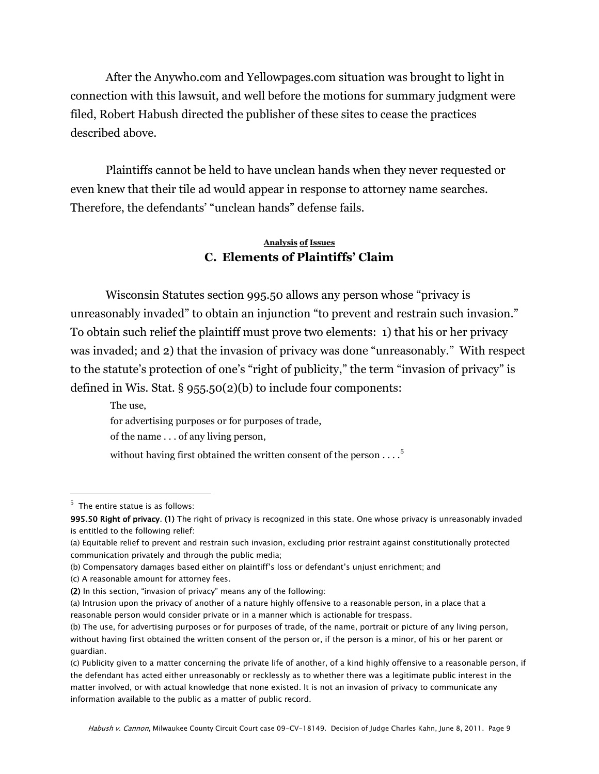After the Anywho.com and Yellowpages.com situation was brought to light in connection with this lawsuit, and well before the motions for summary judgment were filed, Robert Habush directed the publisher of these sites to cease the practices described above.

Plaintiffs cannot be held to have unclean hands when they never requested or even knew that their tile ad would appear in response to attorney name searches. Therefore, the defendants' "unclean hands" defense fails.

## **Analysis of Issues C. Elements of Plaintiffs' Claim**

Wisconsin Statutes section 995.50 allows any person whose "privacy is unreasonably invaded" to obtain an injunction "to prevent and restrain such invasion." To obtain such relief the plaintiff must prove two elements: 1) that his or her privacy was invaded; and 2) that the invasion of privacy was done "unreasonably." With respect to the statute's protection of one's "right of publicity," the term "invasion of privacy" is defined in Wis. Stat. § 955.50(2)(b) to include four components:

 The use, for advertising purposes or for purposes of trade, of the name . . . of any living person, without having first obtained the written consent of the person  $\dots$ <sup>5</sup>

 $<sup>5</sup>$  The entire statue is as follows:</sup>

<sup>995.50</sup> Right of privacy. (1) The right of privacy is recognized in this state. One whose privacy is unreasonably invaded is entitled to the following relief:

<sup>(</sup>a) Equitable relief to prevent and restrain such invasion, excluding prior restraint against constitutionally protected communication privately and through the public media;

<sup>(</sup>b) Compensatory damages based either on plaintiff's loss or defendant's unjust enrichment; and

<sup>(</sup>c) A reasonable amount for attorney fees.

<sup>(2)</sup> In this section, "invasion of privacy" means any of the following:

<sup>(</sup>a) Intrusion upon the privacy of another of a nature highly offensive to a reasonable person, in a place that a reasonable person would consider private or in a manner which is actionable for trespass.

<sup>(</sup>b) The use, for advertising purposes or for purposes of trade, of the name, portrait or picture of any living person, without having first obtained the written consent of the person or, if the person is a minor, of his or her parent or guardian.

<sup>(</sup>c) Publicity given to a matter concerning the private life of another, of a kind highly offensive to a reasonable person, if the defendant has acted either unreasonably or recklessly as to whether there was a legitimate public interest in the matter involved, or with actual knowledge that none existed. It is not an invasion of privacy to communicate any information available to the public as a matter of public record.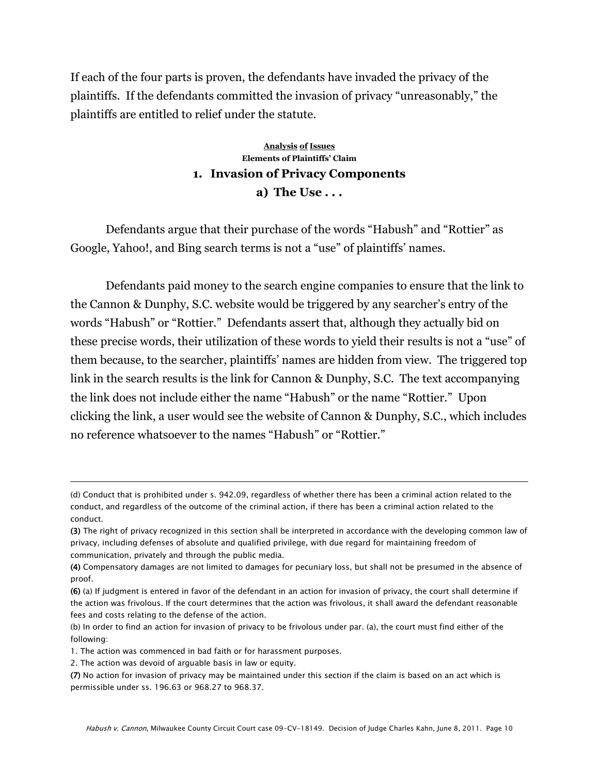If each of the four parts is proven, the defendants have invaded the privacy of the plaintiffs. If the defendants committed the invasion of privacy "unreasonably," the plaintiffs are entitled to relief under the statute.

## **Analysis of Issues Elements of Plaintiffs' Claim 1. Invasion of Privacy Components a) The Use . . .**

Defendants argue that their purchase of the words "Habush" and "Rottier" as Google, Yahoo!, and Bing search terms is not a "use" of plaintiffs' names.

Defendants paid money to the search engine companies to ensure that the link to the Cannon & Dunphy, S.C. website would be triggered by any searcher's entry of the words "Habush" or "Rottier." Defendants assert that, although they actually bid on these precise words, their utilization of these words to yield their results is not a "use" of them because, to the searcher, plaintiffs' names are hidden from view. The triggered top link in the search results is the link for Cannon & Dunphy, S.C. The text accompanying the link does not include either the name "Habush" or the name "Rottier." Upon clicking the link, a user would see the website of Cannon & Dunphy, S.C., which includes no reference whatsoever to the names "Habush" or "Rottier."

<sup>(</sup>d) Conduct that is prohibited under s. 942.09, regardless of whether there has been a criminal action related to the conduct, and regardless of the outcome of the criminal action, if there has been a criminal action related to the conduct.

<sup>(3)</sup> The right of privacy recognized in this section shall be interpreted in accordance with the developing common law of privacy, including defenses of absolute and qualified privilege, with due regard for maintaining freedom of communication, privately and through the public media.

<sup>(4)</sup> Compensatory damages are not limited to damages for pecuniary loss, but shall not be presumed in the absence of proof.

<sup>(6)</sup> (a) If judgment is entered in favor of the defendant in an action for invasion of privacy, the court shall determine if the action was frivolous. If the court determines that the action was frivolous, it shall award the defendant reasonable fees and costs relating to the defense of the action.

<sup>(</sup>b) In order to find an action for invasion of privacy to be frivolous under par. (a), the court must find either of the following:

<sup>1.</sup> The action was commenced in bad faith or for harassment purposes.

<sup>2.</sup> The action was devoid of arguable basis in law or equity.

<sup>(7)</sup> No action for invasion of privacy may be maintained under this section if the claim is based on an act which is permissible under ss. 196.63 or 968.27 to 968.37.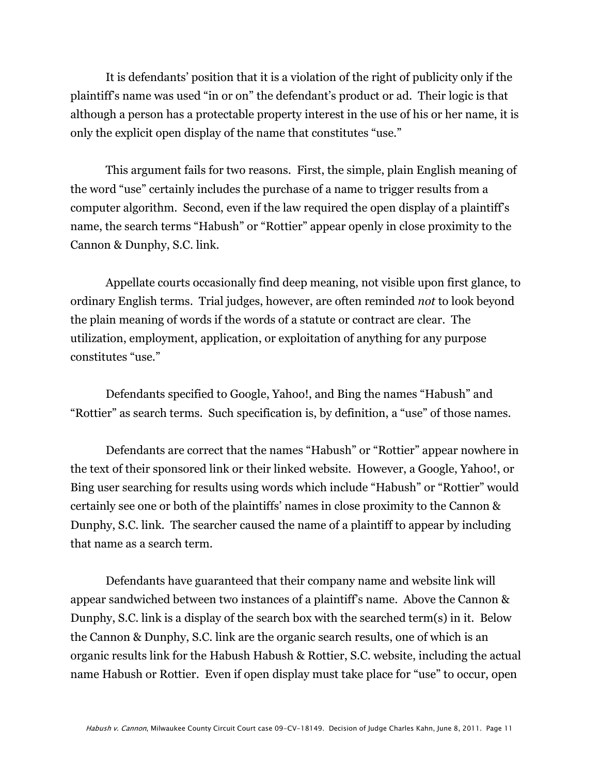It is defendants' position that it is a violation of the right of publicity only if the plaintiff's name was used "in or on" the defendant's product or ad. Their logic is that although a person has a protectable property interest in the use of his or her name, it is only the explicit open display of the name that constitutes "use."

This argument fails for two reasons. First, the simple, plain English meaning of the word "use" certainly includes the purchase of a name to trigger results from a computer algorithm. Second, even if the law required the open display of a plaintiff's name, the search terms "Habush" or "Rottier" appear openly in close proximity to the Cannon & Dunphy, S.C. link.

Appellate courts occasionally find deep meaning, not visible upon first glance, to ordinary English terms. Trial judges, however, are often reminded *not* to look beyond the plain meaning of words if the words of a statute or contract are clear. The utilization, employment, application, or exploitation of anything for any purpose constitutes "use."

Defendants specified to Google, Yahoo!, and Bing the names "Habush" and "Rottier" as search terms. Such specification is, by definition, a "use" of those names.

Defendants are correct that the names "Habush" or "Rottier" appear nowhere in the text of their sponsored link or their linked website. However, a Google, Yahoo!, or Bing user searching for results using words which include "Habush" or "Rottier" would certainly see one or both of the plaintiffs' names in close proximity to the Cannon & Dunphy, S.C. link. The searcher caused the name of a plaintiff to appear by including that name as a search term.

Defendants have guaranteed that their company name and website link will appear sandwiched between two instances of a plaintiff's name. Above the Cannon & Dunphy, S.C. link is a display of the search box with the searched term(s) in it. Below the Cannon & Dunphy, S.C. link are the organic search results, one of which is an organic results link for the Habush Habush & Rottier, S.C. website, including the actual name Habush or Rottier. Even if open display must take place for "use" to occur, open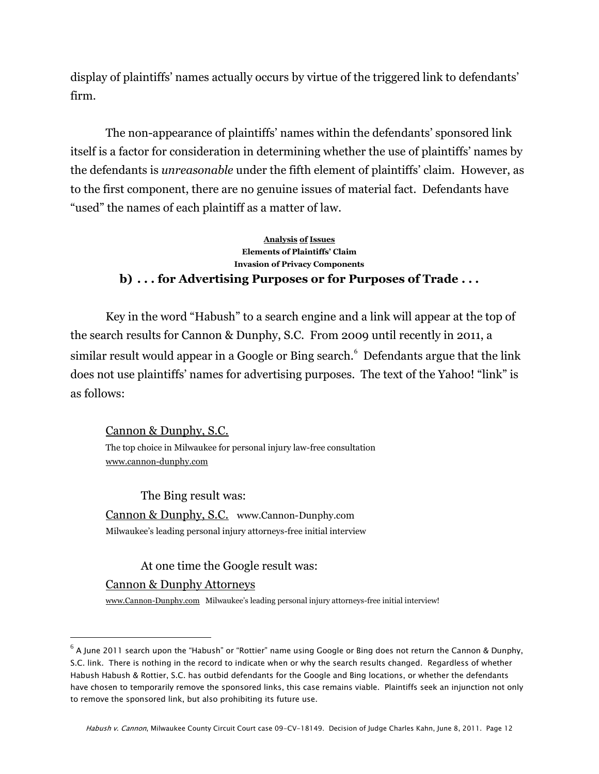display of plaintiffs' names actually occurs by virtue of the triggered link to defendants' firm.

The non-appearance of plaintiffs' names within the defendants' sponsored link itself is a factor for consideration in determining whether the use of plaintiffs' names by the defendants is *unreasonable* under the fifth element of plaintiffs' claim. However, as to the first component, there are no genuine issues of material fact. Defendants have "used" the names of each plaintiff as a matter of law.

#### **Analysis of Issues Elements of Plaintiffs' Claim Invasion of Privacy Components b) . . . for Advertising Purposes or for Purposes of Trade . . .**

Key in the word "Habush" to a search engine and a link will appear at the top of the search results for Cannon & Dunphy, S.C. From 2009 until recently in 2011, a similar result would appear in a Google or Bing search. $^6$  Defendants argue that the link does not use plaintiffs' names for advertising purposes. The text of the Yahoo! "link" is as follows:

### Cannon & Dunphy, S.C.

The top choice in Milwaukee for personal injury law-free consultation [www.cannon-dunphy.com](http://www.cannon-dunphy.com/)

The Bing result was: Cannon & Dunphy, S.C. www.Cannon-Dunphy.com Milwaukee's leading personal injury attorneys-free initial interview

At one time the Google result was:

#### Cannon & Dunphy Attorneys

 $\overline{a}$ 

[www.Cannon-Dunphy.com](http://www.cannon-dunphy.com/) Milwaukee's leading personal injury attorneys-free initial interview!

 $^6$  A June 2011 search upon the "Habush" or "Rottier" name using Google or Bing does not return the Cannon & Dunphy, S.C. link. There is nothing in the record to indicate when or why the search results changed. Regardless of whether Habush Habush & Rottier, S.C. has outbid defendants for the Google and Bing locations, or whether the defendants have chosen to temporarily remove the sponsored links, this case remains viable. Plaintiffs seek an injunction not only to remove the sponsored link, but also prohibiting its future use.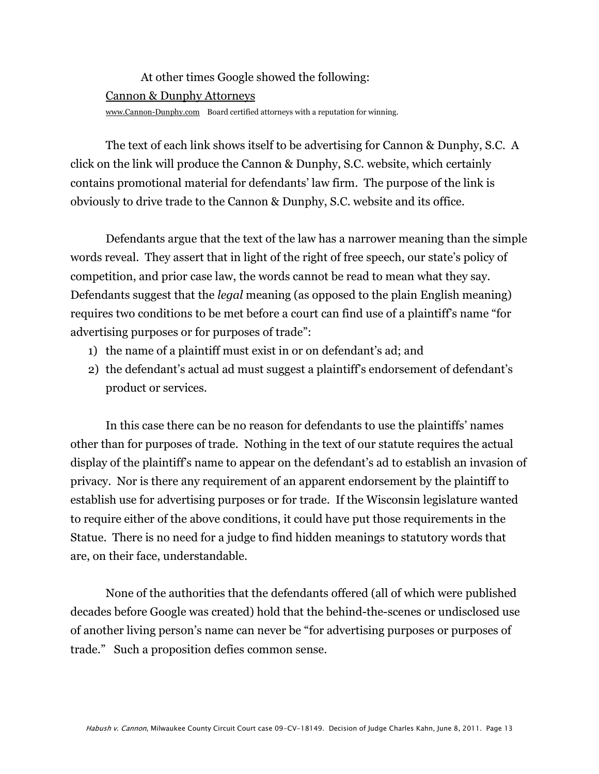# At other times Google showed the following: Cannon & Dunphy Attorneys

[www.Cannon-Dunphy.com](http://www.cannon-dunphy.com/) Board certified attorneys with a reputation for winning.

The text of each link shows itself to be advertising for Cannon & Dunphy, S.C. A click on the link will produce the Cannon & Dunphy, S.C. website, which certainly contains promotional material for defendants' law firm. The purpose of the link is obviously to drive trade to the Cannon & Dunphy, S.C. website and its office.

Defendants argue that the text of the law has a narrower meaning than the simple words reveal. They assert that in light of the right of free speech, our state's policy of competition, and prior case law, the words cannot be read to mean what they say. Defendants suggest that the *legal* meaning (as opposed to the plain English meaning) requires two conditions to be met before a court can find use of a plaintiff's name "for advertising purposes or for purposes of trade":

- 1) the name of a plaintiff must exist in or on defendant's ad; and
- 2) the defendant's actual ad must suggest a plaintiff's endorsement of defendant's product or services.

In this case there can be no reason for defendants to use the plaintiffs' names other than for purposes of trade. Nothing in the text of our statute requires the actual display of the plaintiff's name to appear on the defendant's ad to establish an invasion of privacy. Nor is there any requirement of an apparent endorsement by the plaintiff to establish use for advertising purposes or for trade. If the Wisconsin legislature wanted to require either of the above conditions, it could have put those requirements in the Statue. There is no need for a judge to find hidden meanings to statutory words that are, on their face, understandable.

None of the authorities that the defendants offered (all of which were published decades before Google was created) hold that the behind-the-scenes or undisclosed use of another living person's name can never be "for advertising purposes or purposes of trade.‖ Such a proposition defies common sense.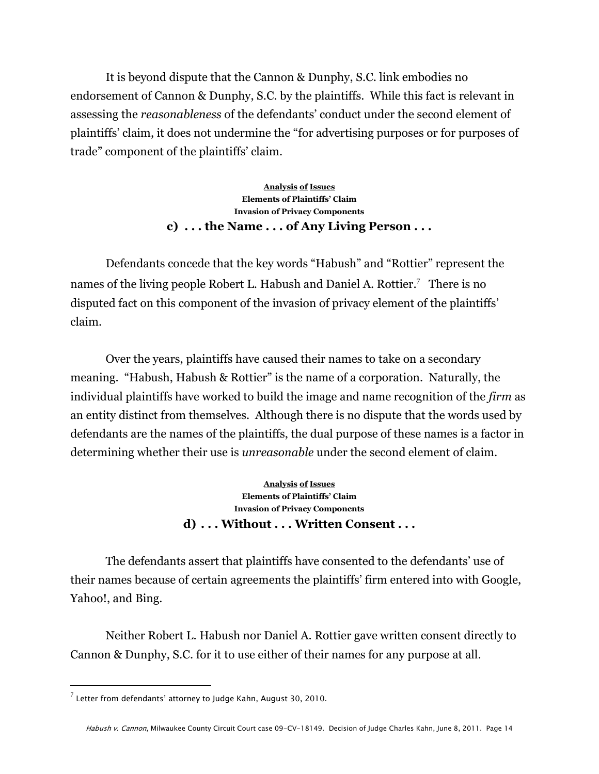It is beyond dispute that the Cannon & Dunphy, S.C. link embodies no endorsement of Cannon & Dunphy, S.C. by the plaintiffs. While this fact is relevant in assessing the *reasonableness* of the defendants' conduct under the second element of plaintiffs' claim, it does not undermine the "for advertising purposes or for purposes of trade" component of the plaintiffs' claim.

> **Analysis of Issues Elements of Plaintiffs' Claim Invasion of Privacy Components c) . . . the Name . . . of Any Living Person . . .**

Defendants concede that the key words "Habush" and "Rottier" represent the names of the living people Robert L. Habush and Daniel A. Rottier.<sup>7</sup> There is no disputed fact on this component of the invasion of privacy element of the plaintiffs' claim.

Over the years, plaintiffs have caused their names to take on a secondary meaning. "Habush, Habush & Rottier" is the name of a corporation. Naturally, the individual plaintiffs have worked to build the image and name recognition of the *firm* as an entity distinct from themselves. Although there is no dispute that the words used by defendants are the names of the plaintiffs, the dual purpose of these names is a factor in determining whether their use is *unreasonable* under the second element of claim.

> **Analysis of Issues Elements of Plaintiffs' Claim Invasion of Privacy Components d) . . . Without . . . Written Consent . . .**

The defendants assert that plaintiffs have consented to the defendants' use of their names because of certain agreements the plaintiffs' firm entered into with Google, Yahoo!, and Bing.

Neither Robert L. Habush nor Daniel A. Rottier gave written consent directly to Cannon & Dunphy, S.C. for it to use either of their names for any purpose at all.

 $^7$  Letter from defendants' attorney to Judge Kahn, August 30, 2010.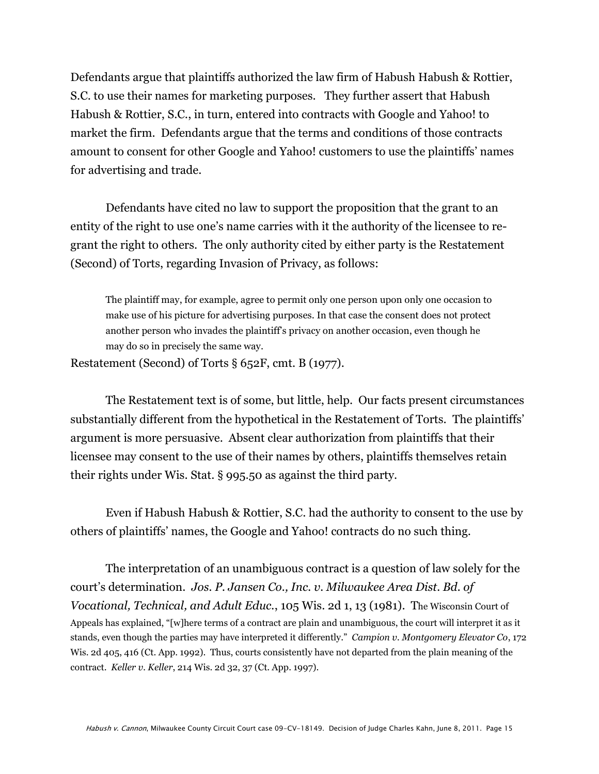Defendants argue that plaintiffs authorized the law firm of Habush Habush & Rottier, S.C. to use their names for marketing purposes. They further assert that Habush Habush & Rottier, S.C., in turn, entered into contracts with Google and Yahoo! to market the firm. Defendants argue that the terms and conditions of those contracts amount to consent for other Google and Yahoo! customers to use the plaintiffs' names for advertising and trade.

Defendants have cited no law to support the proposition that the grant to an entity of the right to use one's name carries with it the authority of the licensee to regrant the right to others. The only authority cited by either party is the Restatement (Second) of Torts, regarding Invasion of Privacy, as follows:

The plaintiff may, for example, agree to permit only one person upon only one occasion to make use of his picture for advertising purposes. In that case the consent does not protect another person who invades the plaintiff's privacy on another occasion, even though he may do so in precisely the same way.

Restatement (Second) of Torts § 652F, cmt. B (1977).

The Restatement text is of some, but little, help. Our facts present circumstances substantially different from the hypothetical in the Restatement of Torts. The plaintiffs' argument is more persuasive. Absent clear authorization from plaintiffs that their licensee may consent to the use of their names by others, plaintiffs themselves retain their rights under Wis. Stat. § 995.50 as against the third party.

Even if Habush Habush & Rottier, S.C. had the authority to consent to the use by others of plaintiffs' names, the Google and Yahoo! contracts do no such thing.

The interpretation of an unambiguous contract is a question of law solely for the court's determination. *Jos. P. Jansen Co., Inc. v. Milwaukee Area Dist. Bd. of Vocational, Technical, and Adult Educ.*, 105 Wis. 2d 1, 13 (1981). The Wisconsin Court of Appeals has explained, "[w]here terms of a contract are plain and unambiguous, the court will interpret it as it stands, even though the parties may have interpreted it differently.‖ *Campion v. Montgomery Elevator Co*, 172 Wis. 2d 405, 416 (Ct. App. 1992). Thus, courts consistently have not departed from the plain meaning of the contract. *Keller v. Keller*, 214 Wis. 2d 32, 37 (Ct. App. 1997).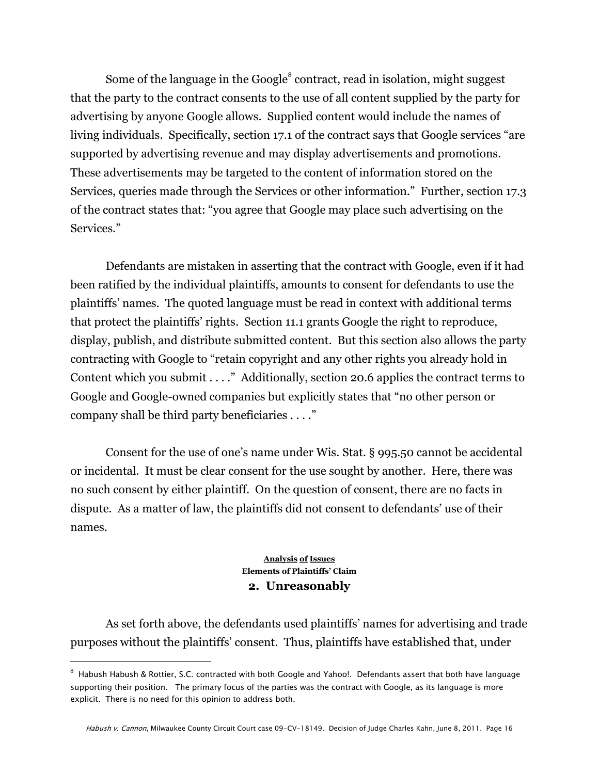Some of the language in the Google $^8$  contract, read in isolation, might suggest that the party to the contract consents to the use of all content supplied by the party for advertising by anyone Google allows. Supplied content would include the names of living individuals. Specifically, section 17.1 of the contract says that Google services "are supported by advertising revenue and may display advertisements and promotions. These advertisements may be targeted to the content of information stored on the Services, queries made through the Services or other information." Further, section 17.3 of the contract states that: ―you agree that Google may place such advertising on the Services."

Defendants are mistaken in asserting that the contract with Google, even if it had been ratified by the individual plaintiffs, amounts to consent for defendants to use the plaintiffs' names. The quoted language must be read in context with additional terms that protect the plaintiffs' rights. Section 11.1 grants Google the right to reproduce, display, publish, and distribute submitted content. But this section also allows the party contracting with Google to "retain copyright and any other rights you already hold in Content which you submit  $\dots$ ." Additionally, section 20.6 applies the contract terms to Google and Google-owned companies but explicitly states that "no other person or company shall be third party beneficiaries  $\dots$ ."

Consent for the use of one's name under Wis. Stat. § 995.50 cannot be accidental or incidental. It must be clear consent for the use sought by another. Here, there was no such consent by either plaintiff. On the question of consent, there are no facts in dispute. As a matter of law, the plaintiffs did not consent to defendants' use of their names.

#### **Analysis of Issues Elements of Plaintiffs' Claim 2. Unreasonably**

As set forth above, the defendants used plaintiffs' names for advertising and trade purposes without the plaintiffs' consent. Thus, plaintiffs have established that, under

 $^8\,$  Habush Habush & Rottier, S.C. contracted with both Google and Yahoo!. Defendants assert that both have language supporting their position. The primary focus of the parties was the contract with Google, as its language is more explicit. There is no need for this opinion to address both.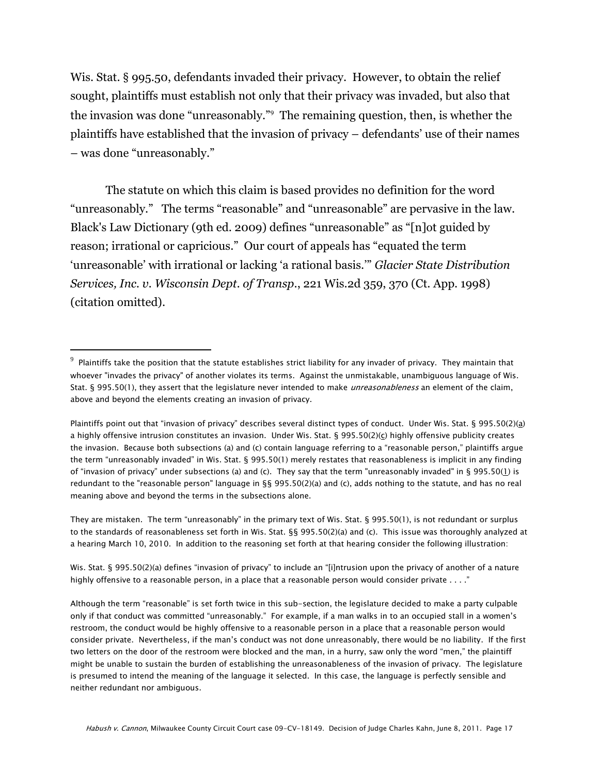Wis. Stat. § 995.50, defendants invaded their privacy. However, to obtain the relief sought, plaintiffs must establish not only that their privacy was invaded, but also that the invasion was done "unreasonably." The remaining question, then, is whether the plaintiffs have established that the invasion of privacy – defendants' use of their names – was done "unreasonably."

The statute on which this claim is based provides no definition for the word "unreasonably." The terms "reasonable" and "unreasonable" are pervasive in the law. Black's Law Dictionary (9th ed. 2009) defines "unreasonable" as "[n]ot guided by reason; irrational or capricious." Our court of appeals has "equated the term ‗unreasonable' with irrational or lacking ‗a rational basis.'‖ *Glacier State Distribution Services, Inc. v. Wisconsin Dept. of Transp*., 221 Wis.2d 359, 370 (Ct. App. 1998) (citation omitted).

 $\overline{a}$ 

They are mistaken. The term "unreasonably" in the primary text of Wis. Stat. § 995.50(1), is not redundant or surplus to the standards of reasonableness set forth in Wis. Stat. §§ 995.50(2)(a) and (c). This issue was thoroughly analyzed at a hearing March 10, 2010. In addition to the reasoning set forth at that hearing consider the following illustration:

Wis. Stat. § 995.50(2)(a) defines "invasion of privacy" to include an "[i]ntrusion upon the privacy of another of a nature highly offensive to a reasonable person, in a place that a reasonable person would consider private . . . ."

Although the term "reasonable" is set forth twice in this sub-section, the legislature decided to make a party culpable only if that conduct was committed "unreasonably." For example, if a man walks in to an occupied stall in a women's restroom, the conduct would be highly offensive to a reasonable person in a place that a reasonable person would consider private. Nevertheless, if the man's conduct was not done unreasonably, there would be no liability. If the first two letters on the door of the restroom were blocked and the man, in a hurry, saw only the word "men," the plaintiff might be unable to sustain the burden of establishing the unreasonableness of the invasion of privacy. The legislature is presumed to intend the meaning of the language it selected. In this case, the language is perfectly sensible and neither redundant nor ambiguous.

 $^9$  Plaintiffs take the position that the statute establishes strict liability for any invader of privacy. They maintain that whoever "invades the privacy" of another violates its terms. Against the unmistakable, unambiguous language of Wis. Stat. § 995.50(1), they assert that the legislature never intended to make *unreasonableness* an element of the claim, above and beyond the elements creating an invasion of privacy.

Plaintiffs point out that "invasion of privacy" describes several distinct types of conduct. Under Wis. Stat. § 995.50(2)(a) a highly offensive intrusion constitutes an invasion. Under Wis. Stat. § 995.50(2)(c) highly offensive publicity creates the invasion. Because both subsections (a) and (c) contain language referring to a "reasonable person," plaintiffs argue the term "unreasonably invaded" in Wis. Stat. § 995.50(1) merely restates that reasonableness is implicit in any finding of "invasion of privacy" under subsections (a) and (c). They say that the term "unreasonably invaded" in § 995.50(1) is redundant to the "reasonable person" language in §§ 995.50(2)(a) and (c), adds nothing to the statute, and has no real meaning above and beyond the terms in the subsections alone.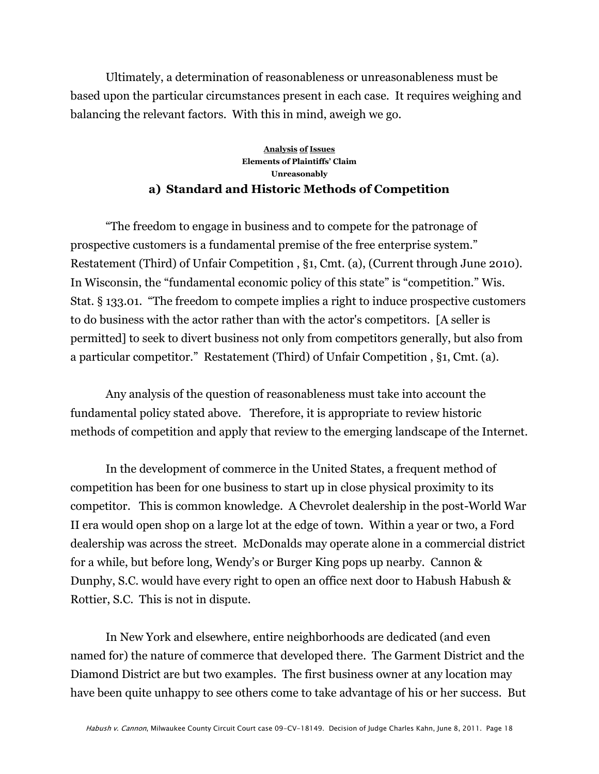Ultimately, a determination of reasonableness or unreasonableness must be based upon the particular circumstances present in each case. It requires weighing and balancing the relevant factors. With this in mind, aweigh we go.

#### **Analysis of Issues Elements of Plaintiffs' Claim Unreasonably a) Standard and Historic Methods of Competition**

―The freedom to engage in business and to compete for the patronage of prospective customers is a fundamental premise of the free enterprise system." Restatement (Third) of Unfair Competition , §1, Cmt. (a), (Current through June 2010). In Wisconsin, the "fundamental economic policy of this state" is "competition." Wis. Stat. § 133.01. "The freedom to compete implies a right to induce prospective customers to do business with the actor rather than with the actor's competitors. [A seller is permitted] to seek to divert business not only from competitors generally, but also from a particular competitor." Restatement (Third) of Unfair Competition, §1, Cmt. (a).

Any analysis of the question of reasonableness must take into account the fundamental policy stated above. Therefore, it is appropriate to review historic methods of competition and apply that review to the emerging landscape of the Internet.

In the development of commerce in the United States, a frequent method of competition has been for one business to start up in close physical proximity to its competitor. This is common knowledge. A Chevrolet dealership in the post-World War II era would open shop on a large lot at the edge of town. Within a year or two, a Ford dealership was across the street. McDonalds may operate alone in a commercial district for a while, but before long, Wendy's or Burger King pops up nearby. Cannon & Dunphy, S.C. would have every right to open an office next door to Habush Habush & Rottier, S.C. This is not in dispute.

In New York and elsewhere, entire neighborhoods are dedicated (and even named for) the nature of commerce that developed there. The Garment District and the Diamond District are but two examples. The first business owner at any location may have been quite unhappy to see others come to take advantage of his or her success. But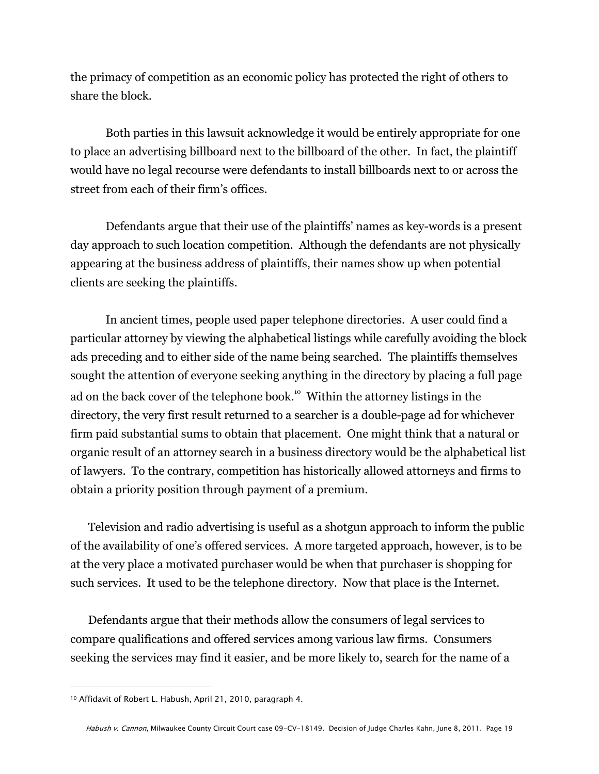the primacy of competition as an economic policy has protected the right of others to share the block.

Both parties in this lawsuit acknowledge it would be entirely appropriate for one to place an advertising billboard next to the billboard of the other. In fact, the plaintiff would have no legal recourse were defendants to install billboards next to or across the street from each of their firm's offices.

Defendants argue that their use of the plaintiffs' names as key-words is a present day approach to such location competition. Although the defendants are not physically appearing at the business address of plaintiffs, their names show up when potential clients are seeking the plaintiffs.

In ancient times, people used paper telephone directories. A user could find a particular attorney by viewing the alphabetical listings while carefully avoiding the block ads preceding and to either side of the name being searched. The plaintiffs themselves sought the attention of everyone seeking anything in the directory by placing a full page ad on the back cover of the telephone book.<sup>10</sup> Within the attorney listings in the directory, the very first result returned to a searcher is a double-page ad for whichever firm paid substantial sums to obtain that placement. One might think that a natural or organic result of an attorney search in a business directory would be the alphabetical list of lawyers. To the contrary, competition has historically allowed attorneys and firms to obtain a priority position through payment of a premium.

Television and radio advertising is useful as a shotgun approach to inform the public of the availability of one's offered services. A more targeted approach, however, is to be at the very place a motivated purchaser would be when that purchaser is shopping for such services. It used to be the telephone directory. Now that place is the Internet.

Defendants argue that their methods allow the consumers of legal services to compare qualifications and offered services among various law firms. Consumers seeking the services may find it easier, and be more likely to, search for the name of a

<sup>10</sup> Affidavit of Robert L. Habush, April 21, 2010, paragraph 4.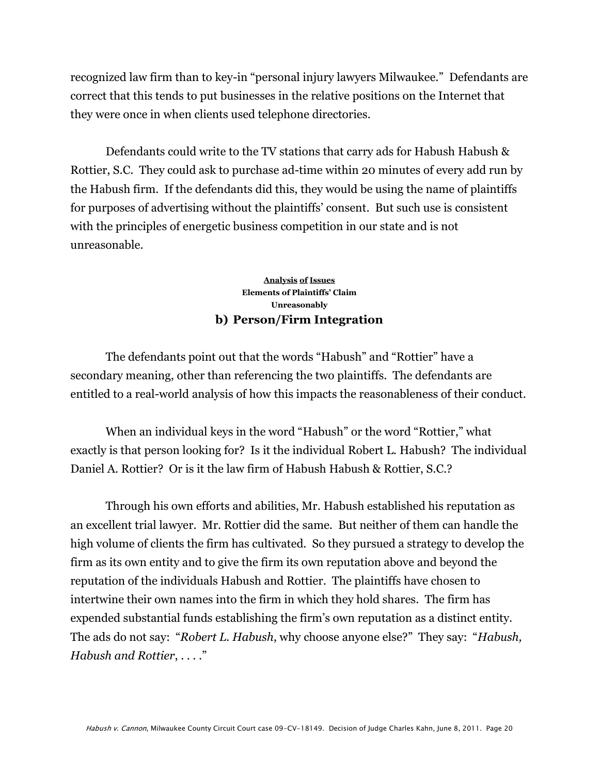recognized law firm than to key-in "personal injury lawyers Milwaukee." Defendants are correct that this tends to put businesses in the relative positions on the Internet that they were once in when clients used telephone directories.

Defendants could write to the TV stations that carry ads for Habush Habush & Rottier, S.C. They could ask to purchase ad-time within 20 minutes of every add run by the Habush firm. If the defendants did this, they would be using the name of plaintiffs for purposes of advertising without the plaintiffs' consent. But such use is consistent with the principles of energetic business competition in our state and is not unreasonable.

#### **Analysis of Issues Elements of Plaintiffs' Claim Unreasonably b) Person/Firm Integration**

The defendants point out that the words "Habush" and "Rottier" have a secondary meaning, other than referencing the two plaintiffs. The defendants are entitled to a real-world analysis of how this impacts the reasonableness of their conduct.

When an individual keys in the word "Habush" or the word "Rottier," what exactly is that person looking for? Is it the individual Robert L. Habush? The individual Daniel A. Rottier? Or is it the law firm of Habush Habush & Rottier, S.C.?

Through his own efforts and abilities, Mr. Habush established his reputation as an excellent trial lawyer. Mr. Rottier did the same. But neither of them can handle the high volume of clients the firm has cultivated. So they pursued a strategy to develop the firm as its own entity and to give the firm its own reputation above and beyond the reputation of the individuals Habush and Rottier. The plaintiffs have chosen to intertwine their own names into the firm in which they hold shares. The firm has expended substantial funds establishing the firm's own reputation as a distinct entity. The ads do not say: "Robert L. Habush, why choose anyone else?" They say: "Habush, *Habush and Rottier, ....*"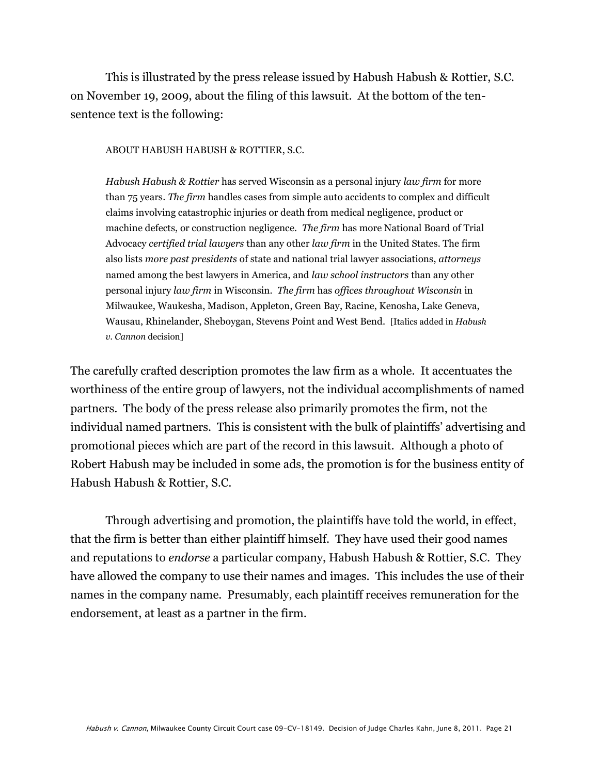This is illustrated by the press release issued by Habush Habush & Rottier, S.C. on November 19, 2009, about the filing of this lawsuit. At the bottom of the tensentence text is the following:

ABOUT HABUSH HABUSH & ROTTIER, S.C.

*Habush Habush & Rottier* has served Wisconsin as a personal injury *law firm* for more than 75 years. *The firm* handles cases from simple auto accidents to complex and difficult claims involving catastrophic injuries or death from medical negligence, product or machine defects, or construction negligence. *The firm* has more National Board of Trial Advocacy *certified trial lawyers* than any other *law firm* in the United States. The firm also lists *more past presidents* of state and national trial lawyer associations, *attorneys*  named among the best lawyers in America, and *law school instructors* than any other personal injury *law firm* in Wisconsin. *The firm* has *offices throughout Wisconsin* in Milwaukee, Waukesha, Madison, Appleton, Green Bay, Racine, Kenosha, Lake Geneva, Wausau, Rhinelander, Sheboygan, Stevens Point and West Bend. [Italics added in *Habush v. Cannon* decision]

The carefully crafted description promotes the law firm as a whole. It accentuates the worthiness of the entire group of lawyers, not the individual accomplishments of named partners. The body of the press release also primarily promotes the firm, not the individual named partners. This is consistent with the bulk of plaintiffs' advertising and promotional pieces which are part of the record in this lawsuit. Although a photo of Robert Habush may be included in some ads, the promotion is for the business entity of Habush Habush & Rottier, S.C.

Through advertising and promotion, the plaintiffs have told the world, in effect, that the firm is better than either plaintiff himself. They have used their good names and reputations to *endorse* a particular company, Habush Habush & Rottier, S.C. They have allowed the company to use their names and images. This includes the use of their names in the company name. Presumably, each plaintiff receives remuneration for the endorsement, at least as a partner in the firm.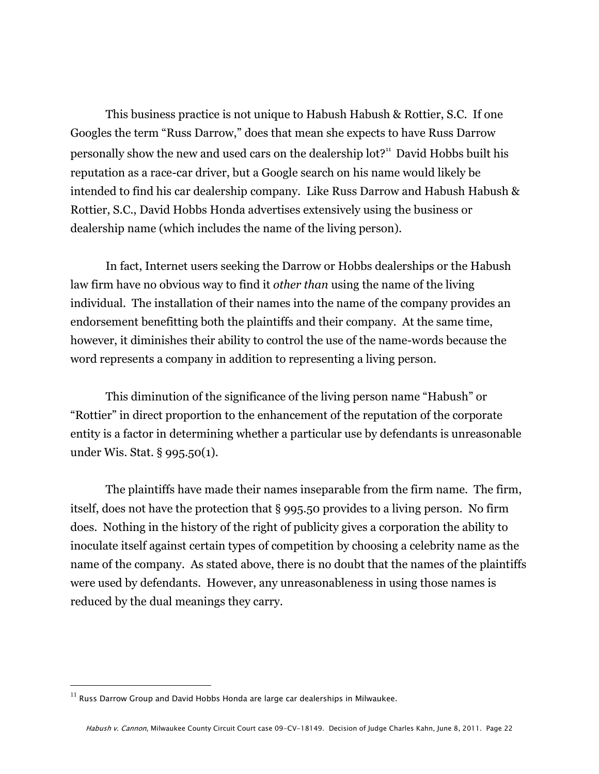This business practice is not unique to Habush Habush & Rottier, S.C. If one Googles the term "Russ Darrow," does that mean she expects to have Russ Darrow personally show the new and used cars on the dealership  $\text{lot?}^n$  David Hobbs built his reputation as a race-car driver, but a Google search on his name would likely be intended to find his car dealership company. Like Russ Darrow and Habush Habush & Rottier, S.C., David Hobbs Honda advertises extensively using the business or dealership name (which includes the name of the living person).

In fact, Internet users seeking the Darrow or Hobbs dealerships or the Habush law firm have no obvious way to find it *other than* using the name of the living individual. The installation of their names into the name of the company provides an endorsement benefitting both the plaintiffs and their company. At the same time, however, it diminishes their ability to control the use of the name-words because the word represents a company in addition to representing a living person.

This diminution of the significance of the living person name "Habush" or "Rottier" in direct proportion to the enhancement of the reputation of the corporate entity is a factor in determining whether a particular use by defendants is unreasonable under Wis. Stat. § 995.50(1).

The plaintiffs have made their names inseparable from the firm name. The firm, itself, does not have the protection that § 995.50 provides to a living person. No firm does. Nothing in the history of the right of publicity gives a corporation the ability to inoculate itself against certain types of competition by choosing a celebrity name as the name of the company. As stated above, there is no doubt that the names of the plaintiffs were used by defendants. However, any unreasonableness in using those names is reduced by the dual meanings they carry.

 $^{11}$  Russ Darrow Group and David Hobbs Honda are large car dealerships in Milwaukee.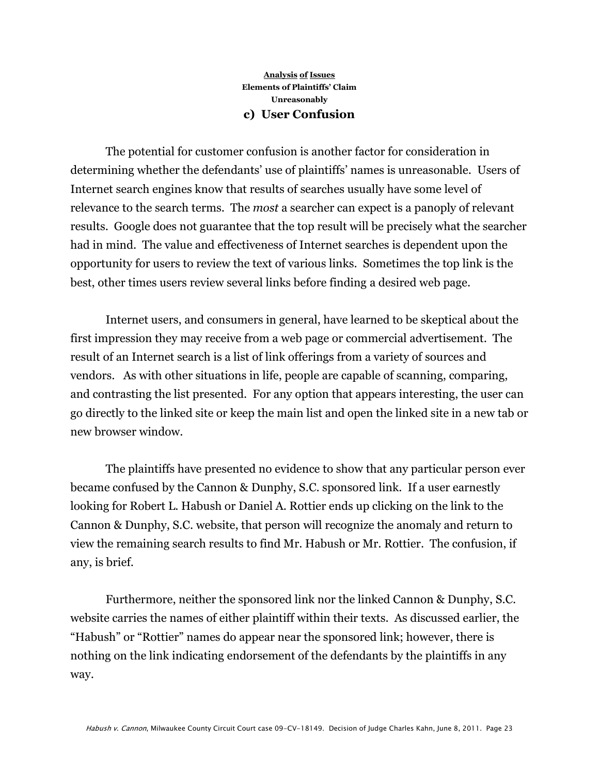#### **Analysis of Issues Elements of Plaintiffs' Claim Unreasonably c) User Confusion**

The potential for customer confusion is another factor for consideration in determining whether the defendants' use of plaintiffs' names is unreasonable. Users of Internet search engines know that results of searches usually have some level of relevance to the search terms. The *most* a searcher can expect is a panoply of relevant results. Google does not guarantee that the top result will be precisely what the searcher had in mind. The value and effectiveness of Internet searches is dependent upon the opportunity for users to review the text of various links. Sometimes the top link is the best, other times users review several links before finding a desired web page.

Internet users, and consumers in general, have learned to be skeptical about the first impression they may receive from a web page or commercial advertisement. The result of an Internet search is a list of link offerings from a variety of sources and vendors. As with other situations in life, people are capable of scanning, comparing, and contrasting the list presented. For any option that appears interesting, the user can go directly to the linked site or keep the main list and open the linked site in a new tab or new browser window.

The plaintiffs have presented no evidence to show that any particular person ever became confused by the Cannon & Dunphy, S.C. sponsored link. If a user earnestly looking for Robert L. Habush or Daniel A. Rottier ends up clicking on the link to the Cannon & Dunphy, S.C. website, that person will recognize the anomaly and return to view the remaining search results to find Mr. Habush or Mr. Rottier. The confusion, if any, is brief.

Furthermore, neither the sponsored link nor the linked Cannon & Dunphy, S.C. website carries the names of either plaintiff within their texts. As discussed earlier, the "Habush" or "Rottier" names do appear near the sponsored link; however, there is nothing on the link indicating endorsement of the defendants by the plaintiffs in any way.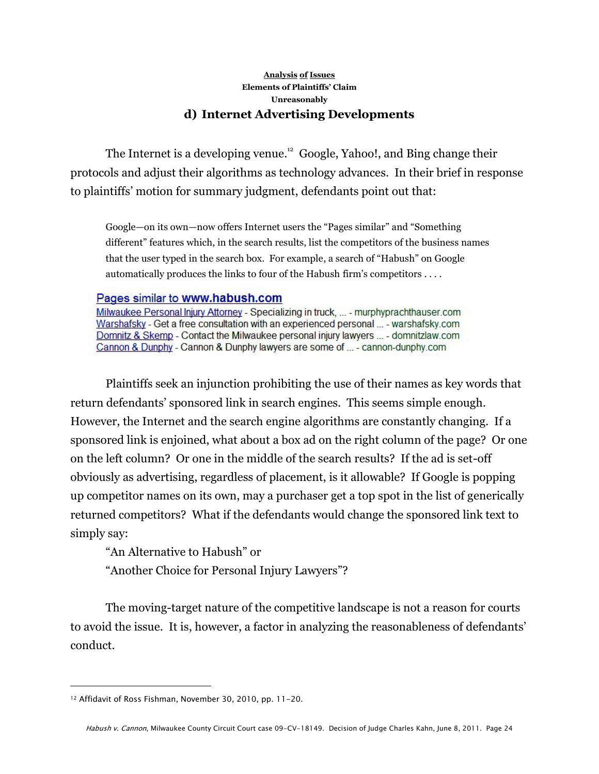#### **Analysis of Issues Elements of Plaintiffs' Claim Unreasonably d) Internet Advertising Developments**

The Internet is a developing venue.<sup>12</sup> Google, Yahoo!, and Bing change their protocols and adjust their algorithms as technology advances. In their brief in response to plaintiffs' motion for summary judgment, defendants point out that:

Google—on its own—now offers Internet users the "Pages similar" and "Something different" features which, in the search results, list the competitors of the business names that the user typed in the search box. For example, a search of "Habush" on Google automatically produces the links to four of the Habush firm's competitors . . . .

#### Pages similar to www.habush.com

Milwaukee Personal Injury Attorney - Specializing in truck, ... - murphyprachthauser.com Warshafsky - Get a free consultation with an experienced personal ... - warshafsky.com Domnitz & Skemp - Contact the Milwaukee personal injury lawyers ... - domnitzlaw.com Cannon & Dunphy - Cannon & Dunphy lawyers are some of ... - cannon-dunphy.com

Plaintiffs seek an injunction prohibiting the use of their names as key words that return defendants' sponsored link in search engines. This seems simple enough. However, the Internet and the search engine algorithms are constantly changing. If a sponsored link is enjoined, what about a box ad on the right column of the page? Or one on the left column? Or one in the middle of the search results? If the ad is set-off obviously as advertising, regardless of placement, is it allowable? If Google is popping up competitor names on its own, may a purchaser get a top spot in the list of generically returned competitors? What if the defendants would change the sponsored link text to simply say:

"An Alternative to Habush" or

"Another Choice for Personal Injury Lawyers"?

The moving-target nature of the competitive landscape is not a reason for courts to avoid the issue. It is, however, a factor in analyzing the reasonableness of defendants' conduct.

<sup>12</sup> Affidavit of Ross Fishman, November 30, 2010, pp. 11-20.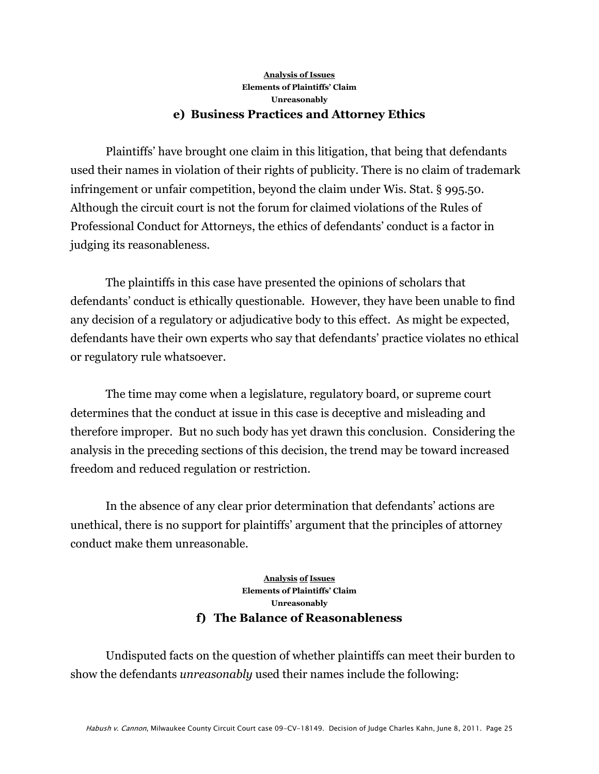#### **Analysis of Issues Elements of Plaintiffs' Claim Unreasonably e) Business Practices and Attorney Ethics**

Plaintiffs' have brought one claim in this litigation, that being that defendants used their names in violation of their rights of publicity. There is no claim of trademark infringement or unfair competition, beyond the claim under Wis. Stat. § 995.50. Although the circuit court is not the forum for claimed violations of the Rules of Professional Conduct for Attorneys, the ethics of defendants' conduct is a factor in judging its reasonableness.

The plaintiffs in this case have presented the opinions of scholars that defendants' conduct is ethically questionable. However, they have been unable to find any decision of a regulatory or adjudicative body to this effect. As might be expected, defendants have their own experts who say that defendants' practice violates no ethical or regulatory rule whatsoever.

The time may come when a legislature, regulatory board, or supreme court determines that the conduct at issue in this case is deceptive and misleading and therefore improper. But no such body has yet drawn this conclusion. Considering the analysis in the preceding sections of this decision, the trend may be toward increased freedom and reduced regulation or restriction.

In the absence of any clear prior determination that defendants' actions are unethical, there is no support for plaintiffs' argument that the principles of attorney conduct make them unreasonable.

#### **Analysis of Issues Elements of Plaintiffs' Claim Unreasonably f) The Balance of Reasonableness**

Undisputed facts on the question of whether plaintiffs can meet their burden to show the defendants *unreasonably* used their names include the following: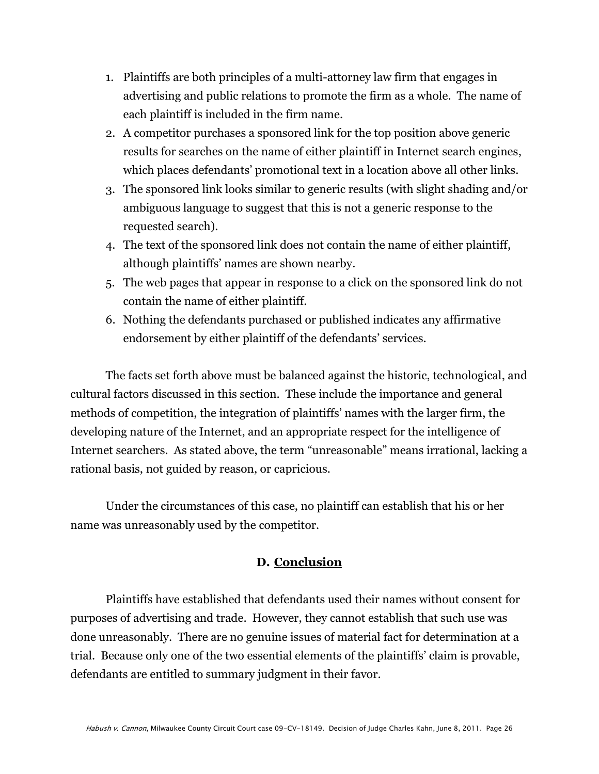- 1. Plaintiffs are both principles of a multi-attorney law firm that engages in advertising and public relations to promote the firm as a whole. The name of each plaintiff is included in the firm name.
- 2. A competitor purchases a sponsored link for the top position above generic results for searches on the name of either plaintiff in Internet search engines, which places defendants' promotional text in a location above all other links.
- 3. The sponsored link looks similar to generic results (with slight shading and/or ambiguous language to suggest that this is not a generic response to the requested search).
- 4. The text of the sponsored link does not contain the name of either plaintiff, although plaintiffs' names are shown nearby.
- 5. The web pages that appear in response to a click on the sponsored link do not contain the name of either plaintiff.
- 6. Nothing the defendants purchased or published indicates any affirmative endorsement by either plaintiff of the defendants' services.

The facts set forth above must be balanced against the historic, technological, and cultural factors discussed in this section. These include the importance and general methods of competition, the integration of plaintiffs' names with the larger firm, the developing nature of the Internet, and an appropriate respect for the intelligence of Internet searchers. As stated above, the term "unreasonable" means irrational, lacking a rational basis, not guided by reason, or capricious.

Under the circumstances of this case, no plaintiff can establish that his or her name was unreasonably used by the competitor.

## **D. Conclusion**

Plaintiffs have established that defendants used their names without consent for purposes of advertising and trade. However, they cannot establish that such use was done unreasonably. There are no genuine issues of material fact for determination at a trial. Because only one of the two essential elements of the plaintiffs' claim is provable, defendants are entitled to summary judgment in their favor.